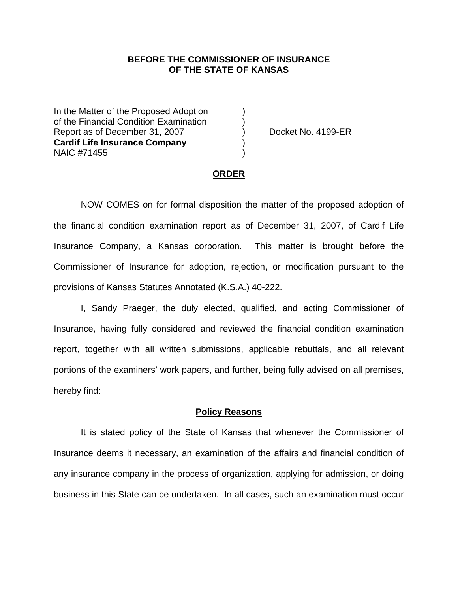## **BEFORE THE COMMISSIONER OF INSURANCE OF THE STATE OF KANSAS**

In the Matter of the Proposed Adoption of the Financial Condition Examination ) Report as of December 31, 2007 (and Separate No. 4199-ER **Cardif Life Insurance Company** ) NAIC #71455 )

#### **ORDER**

 NOW COMES on for formal disposition the matter of the proposed adoption of the financial condition examination report as of December 31, 2007, of Cardif Life Insurance Company, a Kansas corporation. This matter is brought before the Commissioner of Insurance for adoption, rejection, or modification pursuant to the provisions of Kansas Statutes Annotated (K.S.A.) 40-222.

 I, Sandy Praeger, the duly elected, qualified, and acting Commissioner of Insurance, having fully considered and reviewed the financial condition examination report, together with all written submissions, applicable rebuttals, and all relevant portions of the examiners' work papers, and further, being fully advised on all premises, hereby find:

## **Policy Reasons**

 It is stated policy of the State of Kansas that whenever the Commissioner of Insurance deems it necessary, an examination of the affairs and financial condition of any insurance company in the process of organization, applying for admission, or doing business in this State can be undertaken. In all cases, such an examination must occur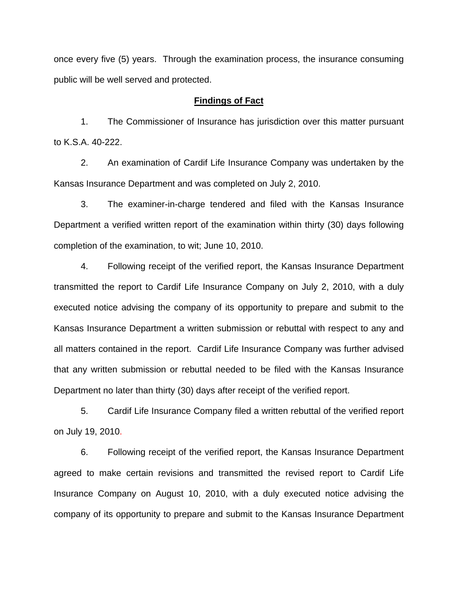once every five (5) years. Through the examination process, the insurance consuming public will be well served and protected.

## **Findings of Fact**

 1. The Commissioner of Insurance has jurisdiction over this matter pursuant to K.S.A. 40-222.

 2. An examination of Cardif Life Insurance Company was undertaken by the Kansas Insurance Department and was completed on July 2, 2010.

 3. The examiner-in-charge tendered and filed with the Kansas Insurance Department a verified written report of the examination within thirty (30) days following completion of the examination, to wit; June 10, 2010.

 4. Following receipt of the verified report, the Kansas Insurance Department transmitted the report to Cardif Life Insurance Company on July 2, 2010, with a duly executed notice advising the company of its opportunity to prepare and submit to the Kansas Insurance Department a written submission or rebuttal with respect to any and all matters contained in the report. Cardif Life Insurance Company was further advised that any written submission or rebuttal needed to be filed with the Kansas Insurance Department no later than thirty (30) days after receipt of the verified report.

 5. Cardif Life Insurance Company filed a written rebuttal of the verified report on July 19, 2010.

 6. Following receipt of the verified report, the Kansas Insurance Department agreed to make certain revisions and transmitted the revised report to Cardif Life Insurance Company on August 10, 2010, with a duly executed notice advising the company of its opportunity to prepare and submit to the Kansas Insurance Department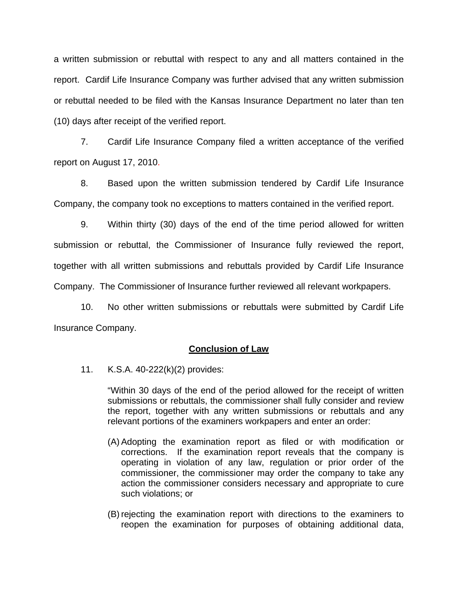a written submission or rebuttal with respect to any and all matters contained in the report. Cardif Life Insurance Company was further advised that any written submission or rebuttal needed to be filed with the Kansas Insurance Department no later than ten (10) days after receipt of the verified report.

 7. Cardif Life Insurance Company filed a written acceptance of the verified report on August 17, 2010.

8. Based upon the written submission tendered by Cardif Life Insurance Company, the company took no exceptions to matters contained in the verified report.

 9. Within thirty (30) days of the end of the time period allowed for written submission or rebuttal, the Commissioner of Insurance fully reviewed the report, together with all written submissions and rebuttals provided by Cardif Life Insurance Company. The Commissioner of Insurance further reviewed all relevant workpapers.

 10. No other written submissions or rebuttals were submitted by Cardif Life Insurance Company.

## **Conclusion of Law**

11. K.S.A. 40-222(k)(2) provides:

"Within 30 days of the end of the period allowed for the receipt of written submissions or rebuttals, the commissioner shall fully consider and review the report, together with any written submissions or rebuttals and any relevant portions of the examiners workpapers and enter an order:

- (A) Adopting the examination report as filed or with modification or corrections. If the examination report reveals that the company is operating in violation of any law, regulation or prior order of the commissioner, the commissioner may order the company to take any action the commissioner considers necessary and appropriate to cure such violations; or
- (B) rejecting the examination report with directions to the examiners to reopen the examination for purposes of obtaining additional data,